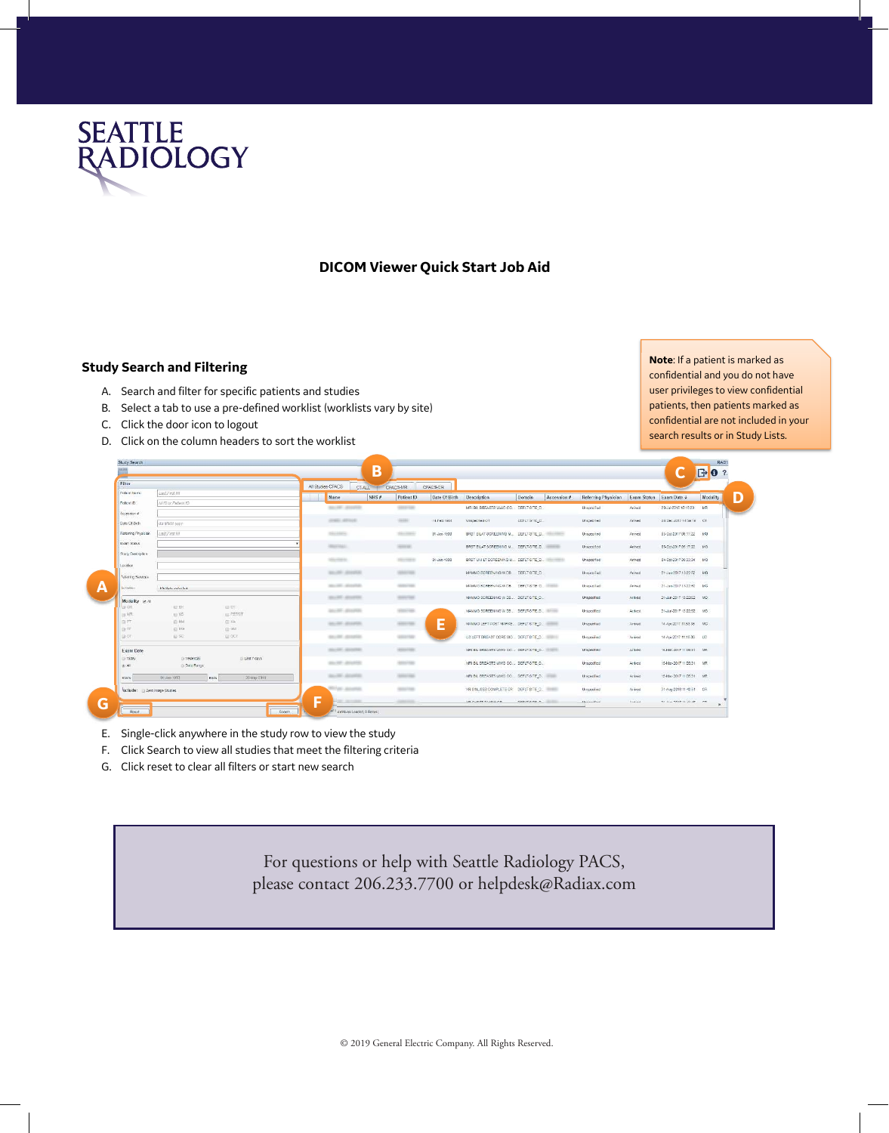

## **DICOM Viewer Quick Start Job Aid**

## **Study Search and Filtering**

- A. Search and filter for specific patients and studies
- B. Select a tab to use a pre-defined worklist (worklists vary by site)
- C. Click the door icon to logout
- D. Click on the column headers to sort the worklist

**Note**: If a patient is marked as confidential and you do not have user privileges to view confidential patients, then patients marked as confidential are not included in your search results or in Study Lists.

| Filter                         |                       |                                  |   | All Stubies-CPACS<br>CT-ALL III CPACS-MR |                  | CPACS-CR      |                                                 |                 |             |                      |                         |                          |          |
|--------------------------------|-----------------------|----------------------------------|---|------------------------------------------|------------------|---------------|-------------------------------------------------|-----------------|-------------|----------------------|-------------------------|--------------------------|----------|
| Patient Name                   | Last First Mt         |                                  |   | Name<br>NHS #                            | Patient ID       | Date Of Birth | <b>Description</b>                              | Domain          | Accession # | Referring Physician  | Exam Status Exam Date + |                          | Modality |
| Potient (D)                    | NHS or Pallent ID     |                                  |   | <b>Marchell Allegeland</b>               | <b>SERVICE</b>   |               | MRI BIL BREASTS WAG CO. DEFIT-SITE D.           |                 |             | <b>Linsexizified</b> | Archwid                 | 23-Jul-2018 18:18:23 MR  |          |
| Accession M                    |                       |                                  |   |                                          |                  |               |                                                 |                 |             |                      |                         |                          |          |
| Date Of Brds                   | dd MMM-yyyy           |                                  |   | <b>JONEY AFRICA</b>                      | <b>SERVICE</b>   | 141'eb.1964   | Unspected OT                                    | DEPLY-SITE_D.   |             | Unspecified          | Arrived                 | 28-Dec-2017 14:58:18 OT  |          |
| Referring Physician            | Last First KIT        |                                  |   | Distance.                                | Similar in       | 01-Jan-1900   | BRST BILAT SCREENING M., DEPLY SITE_D.          |                 |             | Unspectfed           | Arrived                 | US-Oct 2017 08:17:22 MG  |          |
| Exam Status                    |                       |                                  |   | distant state in                         | comes.           |               | BRST BILAT SCREENING M., DEFLT-SITE D., WARRENT |                 |             | Unspecified          | Arrived                 | 05-0162017 06:17:22 MG   |          |
| Study Description              |                       |                                  |   |                                          |                  |               |                                                 |                 |             |                      |                         |                          |          |
| Locidien                       |                       |                                  |   | <b>District Control</b>                  | Discount of      | 01-Jan-1900   | BRST UVI LT SCREENING M., DEPLT-SITE D.         |                 |             | Unspecified          | Anived                  | 04-0162017 09:33:34 MS   |          |
|                                |                       |                                  |   | Mountee, Mountee                         | <b>SERVICE</b>   |               | MAMMO SCREENING WIDS DEFLT-SITE D.              |                 |             | Linscontified        | Arrived                 | 21-Jun-2017 13:22:52 MS  |          |
| <b>Baltering Services</b>      |                       |                                  |   | Michigan Allengeran                      | ARRAY HEAT       |               | MAMMO SCREENING WIDS DEFLIT SITE D.             |                 |             | <b>Unspecified</b>   | Arrived                 | 21-ap-2017 13:22:52 MG   |          |
| <b>INTERNO</b>                 | Multiple actorted     |                                  |   |                                          |                  |               |                                                 |                 |             |                      |                         |                          |          |
| Modality x All                 |                       |                                  |   | ancests announce                         | <b>SERVICE</b>   |               | MAMMO SCREENING WIDE  DEFLT-SITE O              |                 |             | Unspecified          | Arrived -               | 21-Ain-2017.12:22:52 MO  |          |
| <b>U</b> Cit<br>日将             | <b>LE DX</b><br>$=16$ | <b>IE CT</b><br><b>EL PETIOT</b> |   | ances announ                             | <b>Historica</b> |               | MANNO SCREENING W DB., DEFLT-SITE C., INCHES    |                 |             | Unspecified          | Arrived                 | 21-An-2017 13:22:52 600  |          |
| <b>D.PT</b>                    | $F0$ NM               | $E = XA$                         |   | <b>MAGNET ASSESSED</b>                   | <b>GENERAL</b>   |               | MANAO LEFT POST MARKE DEFLI SITE D.             |                 |             | Unspecified          | Actived                 | 14-Apr-2017 11:53:36 MG  |          |
| 日度                             | EME                   | $E = 381$                        |   |                                          |                  | Е             |                                                 |                 |             |                      |                         |                          |          |
| ia or                          | 田 50                  | EL OGT.                          |   | <b>MARK AMARA</b>                        | GESA/GER         |               | US LEFT BREAST CORE BIO DEPLT SITE. O.          |                 |             | Unspecified          | Arrived                 | 14 Apr 2017 11:19:36 US  |          |
| Exam Date                      |                       |                                  |   | All-All-Allando                          | <b>SERVICES</b>  |               | MRI BIL BREASTS WWO CO DEFLT-SITE O.            |                 |             | Unspecified          | Arrived                 | 16-Mar-2017 11:05:31 MR  |          |
| Today                          | (ii) Yesterday        | Ditast 7 days                    |   | Market Amarine                           | <b>ASSAULT</b>   |               | MRI BIL BREASTS WWO CO DEFLT-SITE O             |                 |             | Unspecified          | Arthred                 | 15-Mar-2017 11:05:31 NR  |          |
| @ AB                           | C: Data Rance         |                                  |   |                                          |                  |               |                                                 |                 |             |                      |                         |                          |          |
| Statts                         | 01-Jan-1950<br>Ends   | 20-May 2019                      |   | Anyway, All and All                      | GENERAL BARS     |               | MRI BILBREASTS WWO CO., DEFLT-SITE O.           |                 |             | Unepectived          | Anted                   | 15-Mar-2017 11:05:31 MR  |          |
| violude: El Zero Image Studies |                       |                                  |   | <b>Rivier, America</b>                   |                  |               | XR SINUSES COMPLETE CR DEPLT-SITE D.            |                 |             | Unepeched            | Armed                   | 31-Aug-2018 11 43 51 CR  |          |
|                                |                       |                                  | F |                                          |                  |               | va njemnovnikom                                 | NEW YORK AT THE |             | <b>Lineannified</b>  | <b>Real and</b>         | ne aux more stratute  no |          |

- E. Single-click anywhere in the study row to view the study
- F. Click Search to view all studies that meet the filtering criteria
- G. Click reset to clear all filters or start new search

For questions or help with Seattle Radiology PACS, please contact 206.233.7700 or helpdesk@Radiax.com

© 2019 General Electric Company. All Rights Reserved.